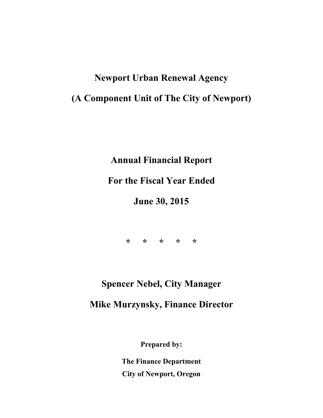# **Newport Urban Renewal Agency (A Component Unit of The City of Newport)**

### **Annual Financial Report**

**For the Fiscal Year Ended**

**June 30, 2015**

**\* \* \* \* \***

## **Spencer Nebel, City Manager**

**Mike Murzynsky, Finance Director**

**Prepared by:**

**The Finance Department City of Newport, Oregon**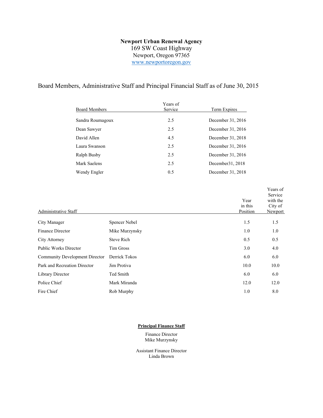#### **Newport Urban Renewal Agency** 169 SW Coast Highway Newport, Oregon 97365 www.newportoregon.gov

#### Board Members, Administrative Staff and Principal Financial Staff as of June 30, 2015

| <b>Board Members</b> | Years of<br>Service | Term Expires      |
|----------------------|---------------------|-------------------|
| Sandra Roumagoux     | 2.5                 | December 31, 2016 |
| Dean Sawyer          | 2.5                 | December 31, 2016 |
| David Allen          | 4.5                 | December 31, 2018 |
| Laura Swanson        | 2.5                 | December 31, 2016 |
| Ralph Busby          | 2.5                 | December 31, 2016 |
| <b>Mark Saelens</b>  | 2.5                 | December 31, 2018 |
| Wendy Engler         | 0.5                 | December 31, 2018 |

| <b>Administrative Staff</b>           |                   | Year<br>in this<br>Position | Years of<br>Service<br>with the<br>City of<br>Newport |
|---------------------------------------|-------------------|-----------------------------|-------------------------------------------------------|
| City Manager                          | Spencer Nebel     | 1.5                         | 1.5                                                   |
| Finance Director                      | Mike Murzynsky    | 1.0                         | 1.0                                                   |
| City Attorney                         | <b>Steve Rich</b> | 0.5                         | 0.5                                                   |
| Public Works Director                 | <b>Tim Gross</b>  | 3.0                         | 4.0                                                   |
| <b>Community Development Director</b> | Derrick Tokos     | 6.0                         | 6.0                                                   |
| Park and Recreation Director          | Jim Protiva       | 10.0                        | 10.0                                                  |
| Library Director                      | Ted Smith         | 6.0                         | 6.0                                                   |
| Police Chief                          | Mark Miranda      | 12.0                        | 12.0                                                  |
| Fire Chief                            | Rob Murphy        | 1.0                         | 8.0                                                   |

#### **Principal Finance Staff**

Finance Director Mike Murzynsky

Assistant Finance Director Linda Brown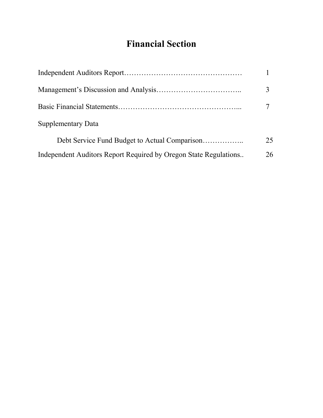## **Financial Section**

| <b>Supplementary Data</b>                                        |    |
|------------------------------------------------------------------|----|
|                                                                  | 25 |
| Independent Auditors Report Required by Oregon State Regulations | 26 |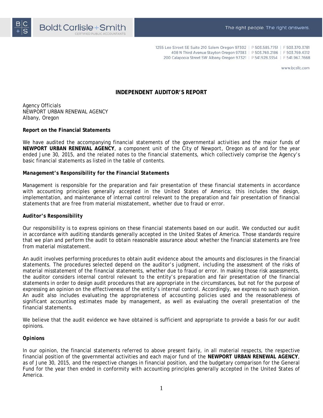Boldt Carlisle+Smith

1255 Lee Street SE Suite 210 Salem Oregon 97302 | P 503.585.7751 | F 503.370.3781 408 N Third Avenue Stayton Oregon 97383 | P 503.769.2186 | F 503.769.4312 200 Calapooia Street SW Albany Oregon 97321 | P 541.928.3354 | F 541.967.7668

www.bcsllc.com

#### **INDEPENDENT AUDITOR'S REPORT**

Agency Officials NEWPORT URBAN RENEWAL AGENCY Albany, Oregon

#### **Report on the Financial Statements**

We have audited the accompanying financial statements of the governmental activities and the major funds of **NEWPORT URBAN RENEWAL AGENCY**, a c*omponent unit of the City of Newport*, *Oregon* as of and for the year ended June 30, 2015, and the related notes to the financial statements, which collectively comprise the Agency's basic financial statements as listed in the table of contents.

#### *Management's Responsibility for the Financial Statements*

Management is responsible for the preparation and fair presentation of these financial statements in accordance with accounting principles generally accepted in the United States of America; this includes the design, implementation, and maintenance of internal control relevant to the preparation and fair presentation of financial statements that are free from material misstatement, whether due to fraud or error.

#### *Auditor's Responsibility*

Our responsibility is to express opinions on these financial statements based on our audit. We conducted our audit in accordance with auditing standards generally accepted in the United States of America. Those standards require that we plan and perform the audit to obtain reasonable assurance about whether the financial statements are free from material misstatement.

An audit involves performing procedures to obtain audit evidence about the amounts and disclosures in the financial statements. The procedures selected depend on the auditor's judgment, including the assessment of the risks of material misstatement of the financial statements, whether due to fraud or error. In making those risk assessments, the auditor considers internal control relevant to the entity's preparation and fair presentation of the financial statements in order to design audit procedures that are appropriate in the circumstances, but not for the purpose of expressing an opinion on the effectiveness of the entity's internal control. Accordingly, we express no such opinion. An audit also includes evaluating the appropriateness of accounting policies used and the reasonableness of significant accounting estimates made by management, as well as evaluating the overall presentation of the financial statements.

We believe that the audit evidence we have obtained is sufficient and appropriate to provide a basis for our audit opinions.

#### *Opinions*

In our opinion, the financial statements referred to above present fairly, in all material respects, the respective financial position of the governmental activities and each major fund of the **NEWPORT URBAN RENEWAL AGENCY**, as of June 30, 2015, and the respective changes in financial position, and the budgetary comparison for the General Fund for the year then ended in conformity with accounting principles generally accepted in the United States of America.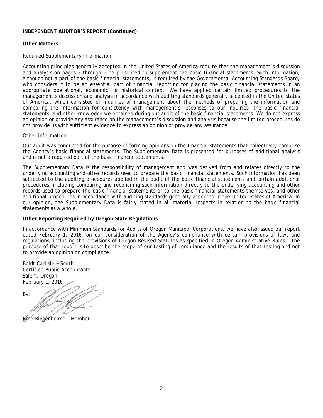#### **INDEPENDENT AUDITOR'S REPORT (Continued)**

#### *Other Matters*

#### *Required Supplementary Information*

Accounting principles generally accepted in the United States of America require that the management's discussion and analysis on pages 3 through 6 be presented to supplement the basic financial statements. Such information, although not a part of the basic financial statements, is required by the Governmental Accounting Standards Board, who considers it to be an essential part of financial reporting for placing the basic financial statements in an appropriate operational, economic, or historical context. We have applied certain limited procedures to the management's discussion and analysis in accordance with auditing standards generally accepted in the United States of America, which consisted of inquiries of management about the methods of preparing the information and comparing the information for consistency with management's responses to our inquiries, the basic financial statements, and other knowledge we obtained during our audit of the basic financial statements. We do not express an opinion or provide any assurance on the management's discussion and analysis because the limited procedures do not provide us with sufficient evidence to express an opinion or provide any assurance.

#### *Other information*

Our audit was conducted for the purpose of forming opinions on the financial statements that collectively comprise the Agency's basic financial statements. The Supplementary Data is presented for purposes of additional analysis and is not a required part of the basic financial statements.

The Supplementary Data is the responsibility of management and was derived from and relates directly to the underlying accounting and other records used to prepare the basic financial statements. Such information has been subjected to the auditing procedures applied in the audit of the basic financial statements and certain additional procedures, including comparing and reconciling such information directly to the underlying accounting and other records used to prepare the basic financial statements or to the basic financial statements themselves, and other additional procedures in accordance with auditing standards generally accepted in the United States of America. In our opinion, the Supplementary Data is fairly stated in all material respects in relation to the basic financial statements as a whole.

#### **Other Reporting Required by Oregon State Regulations**

In accordance with Minimum Standards for Audits of Oregon Municipal Corporations, we have also issued our report dated February 1, 2016, on our consideration of the Agency's compliance with certain provisions of laws and regulations, including the provisions of Oregon Revised Statutes as specified in Oregon Administrative Rules. The purpose of that report is to describe the scope of our testing of compliance and the results of that testing and not to provide an opinion on compliance.

Boldt Carlisle + Smith Certified Public Accountants Salem, Oregon February 1, 2016

By:

Brad Bingenheimer, Member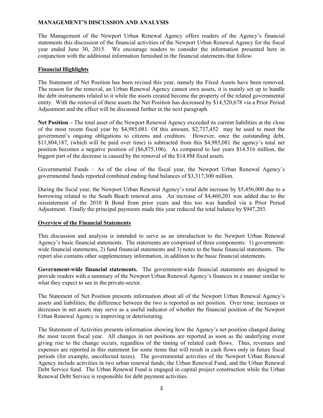#### **MANAGEMENT'S DISCUSSION AND ANALYSIS**

The Management of the Newport Urban Renewal Agency offers readers of the Agency's financial statements this discussion of the financial activities of the Newport Urban Renewal Agency for the fiscal year ended June 30, 2015. We encourage readers to consider the information presented here in conjunction with the additional information furnished in the financial statements that follow.

#### **Financial Highlights**

The Statement of Net Position has been revised this year, namely the Fixed Assets have been removed. The reason for the removal, an Urban Renewal Agency cannot own assets, it is mainly set up to handle the debt instruments related to it while the assets created become the property of the related governmental entity. With the removal of these assets the Net Position has decreased by \$14,520,678 via a Prior Period Adjustment and the effect will be discussed further in the next paragraph.

**Net Position –** The total asset of the Newport Renewal Agency exceeded its current liabilities at the close of the most recent fiscal year by \$4,985,081. Of this amount, \$2,737,452 may be used to meet the government's ongoing obligations to citizens and creditors. However, once the outstanding debt, \$11,804,187, (which will be paid over time) is subtracted from this \$4,985,081 the agency's total net position becomes a negative position of (\$6,875,106). As compared to last years \$14.516 million, the biggest part of the decrease is caused by the removal of the \$14.8M fixed assets.

Governmental Funds – As of the close of the fiscal year, the Newport Urban Renewal Agency's governmental funds reported combined ending fund balances of \$3,317,300 million.

During the fiscal year, the Newport Urban Renewal Agency's total debt increase by \$5,456,000 due to a borrowing related to the South Beach renewal area. An increase of \$4,460,201 was added due to the misstatement of the 2010 B Bond from prior years and this too was handled via a Prior Period Adjustment. Finally the principal payments made this year reduced the total balance by \$947,203.

#### **Overview of the Financial Statements**

This discussion and analysis is intended to serve as an introduction to the Newport Urban Renewal Agency's basic financial statements. The statements are comprised of three components: 1) governmentwide financial statements, 2) fund financial statements and 3) notes to the basic financial statements. The report also contains other supplementary information, in addition to the basic financial statements.

**Government-wide financial statements.** The government-wide financial statements are designed to provide readers with a summary of the Newport Urban Renewal Agency's finances in a manner similar to what they expect to see in the private-sector.

The Statement of Net Position presents information about all of the Newport Urban Renewal Agency's assets and liabilities; the difference between the two is reported as net position. Over time, increases or decreases in net assets may serve as a useful indicator of whether the financial position of the Newport Urban Renewal Agency is improving or deteriorating.

The Statement of Activities presents information showing how the Agency's net position changed during the most recent fiscal year. All changes in net positions are reported as soon as the underlying event giving rise to the change occurs, regardless of the timing of related cash flows. Thus, revenues and expenses are reported in this statement for some items that will result in cash flows only in future fiscal periods (for example, uncollected taxes). The governmental activities of the Newport Urban Renewal Agency include activities in two urban renewal funds; the Urban Renewal Fund, and the Urban Renewal Debt Service fund. The Urban Renewal Fund is engaged in capital project construction while the Urban Renewal Debt Service is responsible for debt payment activities.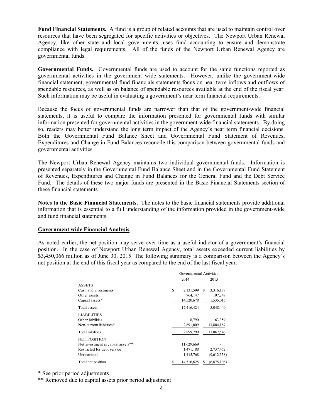**Fund Financial Statements.** A fund is a group of related accounts that are used to maintain control over resources that have been segregated for specific activities or objectives. The Newport Urban Renewal Agency, like other state and local governments, uses fund accounting to ensure and demonstrate compliance with legal requirements. All of the funds of the Newport Urban Renewal Agency are governmental funds.

**Governmental Funds.** Governmental funds are used to account for the same functions reported as governmental activities in the government–wide statements. However, unlike the government-wide financial statement, governmental fund financials statements focus on near term inflows and outflows of spendable resources, as well as on balance of spendable resources available at the end of the fiscal year. Such information may be useful in evaluating a government's near term financial requirements.

Because the focus of governmental funds are narrower than that of the government-wide financial statements, it is useful to compare the information presented for governmental funds with similar information presented for governmental activities in the government-wide financial statements. By doing so, readers may better understand the long term impact of the Agency's near term financial decisions. Both the Governmental Fund Balance Sheet and Governmental Fund Statement of Revenues, Expenditures and Change in Fund Balances reconcile this comparison between governmental funds and governmental activities.

The Newport Urban Renewal Agency maintains two individual governmental funds. Information is presented separately in the Governmental Fund Balance Sheet and in the Governmental Fund Statement of Revenues, Expenditures and Change in Fund Balances for the General Fund and the Debt Service Fund. The details of these two major funds are presented in the Basic Financial Statements section of these financial statements.

**Notes to the Basic Financial Statements.** The notes to the basic financial statements provide additional information that is essential to a full understanding of the information provided in the government-wide and fund financial statements.

#### **Government wide Financial Analysis**

As noted earlier, the net position may serve over time as a useful indictor of a government's financial position. In the case of Newport Urban Renewal Agency, total assets exceeded current liabilities by \$3,450,066 million as of June 30, 2015. The following summary is a comparison between the Agency's net position at the end of this fiscal year as compared to the end of the last fiscal year.

|                                    | Governmental Activities |            |    |             |
|------------------------------------|-------------------------|------------|----|-------------|
|                                    |                         | 2014       |    | 2015        |
| <b>ASSETS</b>                      |                         |            |    |             |
| Cash and investments               | \$                      | 2,131,599  | -S | 3,316,178   |
| Other assets                       |                         | 764,147    |    | 197,247     |
| Capital assets*                    |                         | 14,520,678 |    | 1,535,015   |
| Total assets                       |                         | 17,416,424 |    | 5,048,440   |
| <b>LIABILITIES</b>                 |                         |            |    |             |
| Other liabilities                  |                         | 8,790      |    | 63,359      |
| Non-current liabilities*           |                         | 2,891,009  |    | 11,804,187  |
| Total liabilities                  |                         | 2,899,799  |    | 11,867,546  |
| <b>NET POSITION</b>                |                         |            |    |             |
| Net investment in capital assets** |                         | 11,629,669 |    |             |
| Restricted for debt service        |                         | 1,471,188  |    | 2,737,452   |
| Unrestricted                       |                         | 1,415,768  |    | (9,612,558) |
| Total net position                 |                         | 14,516,625 | S  | (6,875,106) |

\* See prior period adjustments

\*\* Removed due to capital assets prior period adjustment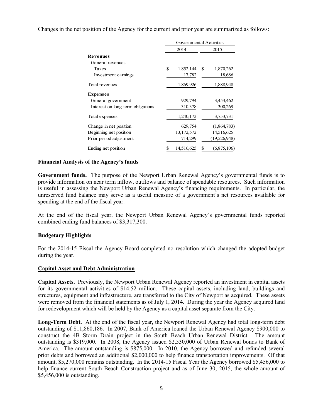Changes in the net position of the Agency for the current and prior year are summarized as follows:

|                                   |   | Governmental Activities |     |                |  |  |
|-----------------------------------|---|-------------------------|-----|----------------|--|--|
|                                   |   | 2014                    |     | 2015           |  |  |
| <b>Revenues</b>                   |   |                         |     |                |  |  |
| General revenues                  |   |                         |     |                |  |  |
| <b>Taxes</b>                      | S | 1,852,144               | \$. | 1,870,262      |  |  |
| Investment earnings               |   | 17,782                  |     | 18,686         |  |  |
| Total revenues                    |   | 1,869,926               |     | 1,888,948      |  |  |
| <b>Expenses</b>                   |   |                         |     |                |  |  |
| General government                |   | 929,794                 |     | 3,453,462      |  |  |
| Interest on long-term obligations |   | 310,378                 |     | 300,269        |  |  |
| Total expenses                    |   | 1,240,172               |     | 3,753,731      |  |  |
| Change in net position            |   | 629,754                 |     | (1,864,783)    |  |  |
| Beginning net position            |   | 13, 172, 572            |     | 14,516,625     |  |  |
| Prior period adjustment           |   | 714,299                 |     | (19, 526, 948) |  |  |
| Ending net position               |   | 14,516,625              |     | (6,875,106)    |  |  |

#### **Financial Analysis of the Agency's funds**

**Government funds.** The purpose of the Newport Urban Renewal Agency's governmental funds is to provide information on near term inflow, outflows and balance of spendable resources. Such information is useful in assessing the Newport Urban Renewal Agency's financing requirements. In particular, the unreserved fund balance may serve as a useful measure of a government's net resources available for spending at the end of the fiscal year.

At the end of the fiscal year, the Newport Urban Renewal Agency's governmental funds reported combined ending fund balances of \$3,317,300.

#### **Budgetary Highlights**

For the 2014-15 Fiscal the Agency Board completed no resolution which changed the adopted budget during the year.

#### **Capital Asset and Debt Administration**

**Capital Assets.** Previously, the Newport Urban Renewal Agency reported an investment in capital assets for its governmental activities of \$14.52 million. These capital assets, including land, buildings and structures, equipment and infrastructure, are transferred to the City of Newport as acquired. These assets were removed from the financial statements as of July 1, 2014. During the year the Agency acquired land for redevelopment which will be held by the Agency as a capital asset separate from the City.

**Long-Term Debt.** At the end of the fiscal year, the Newport Renewal Agency had total long-term debt outstanding of \$11,860,186. In 2007, Bank of America loaned the Urban Renewal Agency \$900,000 to construct the 4B Storm Drain project in the South Beach Urban Renewal District. The amount outstanding is \$319,000. In 2008, the Agency issued \$2,530,000 of Urban Renewal bonds to Bank of America. The amount outstanding is \$875,000. In 2010, the Agency borrowed and refunded several prior debts and borrowed an additional \$2,000,000 to help finance transportation improvements. Of that amount, \$5,270,000 remains outstanding. In the 2014-15 Fiscal Year the Agency borrowed \$5,456,000 to help finance current South Beach Construction project and as of June 30, 2015, the whole amount of \$5,456,000 is outstanding.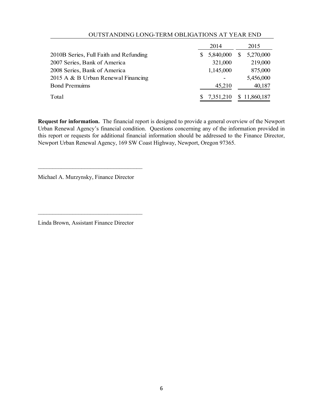|                                        | 2014      |    | 2015       |
|----------------------------------------|-----------|----|------------|
| 2010B Series, Full Faith and Refunding | 5,840,000 | S. | 5,270,000  |
| 2007 Series, Bank of America           | 321,000   |    | 219,000    |
| 2008 Series, Bank of America           | 1,145,000 |    | 875,000    |
| 2015 A & B Urban Renewal Financing     |           |    | 5,456,000  |
| <b>Bond Premuims</b>                   | 45,210    |    | 40,187     |
| Total                                  | 7,351,210 |    | 11,860,187 |

#### OUTSTANDING LONG-TERM OBLIGATIONS AT YEAR END

**Request for information.** The financial report is designed to provide a general overview of the Newport Urban Renewal Agency's financial condition. Questions concerning any of the information provided in this report or requests for additional financial information should be addressed to the Finance Director, Newport Urban Renewal Agency, 169 SW Coast Highway, Newport, Oregon 97365.

Michael A. Murzynsky, Finance Director

 $\mathcal{L}_\text{max}$  and  $\mathcal{L}_\text{max}$  and  $\mathcal{L}_\text{max}$  and  $\mathcal{L}_\text{max}$ 

Linda Brown, Assistant Finance Director

 $\mathcal{L}_\text{max}$  and  $\mathcal{L}_\text{max}$  and  $\mathcal{L}_\text{max}$  and  $\mathcal{L}_\text{max}$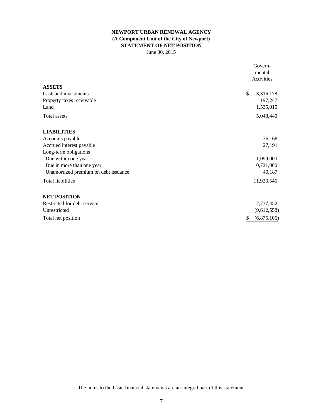#### **NEWPORT URBAN RENEWAL AGENCY STATEMENT OF NET POSITION** June 30, 2015 **(A Component Unit of the City of Newport)**

|                                      | Govern-<br>mental<br>Activities |
|--------------------------------------|---------------------------------|
| <b>ASSETS</b>                        |                                 |
| Cash and investments                 | \$<br>3,316,178                 |
| Property taxes receivable            | 197,247                         |
| Land                                 | 1,535,015                       |
| Total assets                         | 5,048,440                       |
| <b>LIABILITIES</b>                   |                                 |
| Accounts payable                     | 36,168                          |
| Accrued interest payable             | 27,191                          |
| Long-term obligations                |                                 |
| Due within one year                  | 1,099,000                       |
| Due in more than one year            | 10,721,000                      |
| Unamortized premium on debt issuance | 40,187                          |
| Total liabilities                    | 11,923,546                      |
| <b>NET POSITION</b>                  |                                 |
| Restricted for debt service          | 2,737,452                       |
| Unrestricted                         | (9,612,558)                     |
| Total net position                   | \$<br>(6,875,106)               |

The notes to the basic financial statements are an integral part of this statement.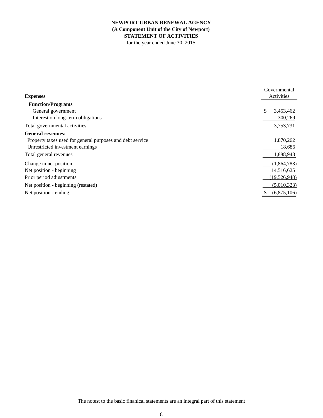#### **NEWPORT URBAN RENEWAL AGENCY STATEMENT OF ACTIVITIES** for the year ended June 30, 2015 **(A Component Unit of the City of Newport)**

|                                                           | Governmental    |
|-----------------------------------------------------------|-----------------|
| <b>Expenses</b>                                           | Activities      |
| <b>Function/Programs</b>                                  |                 |
| General government                                        | \$<br>3,453,462 |
| Interest on long-term obligations                         | 300,269         |
| Total governmental activities                             | 3,753,731       |
| <b>General revenues:</b>                                  |                 |
| Property taxes used for general purposes and debt service | 1,870,262       |
| Unrestricted investment earnings                          | 18,686          |
| Total general revenues                                    | 1,888,948       |
| Change in net position                                    | (1,864,783)     |
| Net position - beginning                                  | 14,516,625      |
| Prior period adjustments                                  | (19,526,948)    |
| Net position - beginning (restated)                       | (5,010,323)     |
| Net position - ending                                     | (6,875,106)     |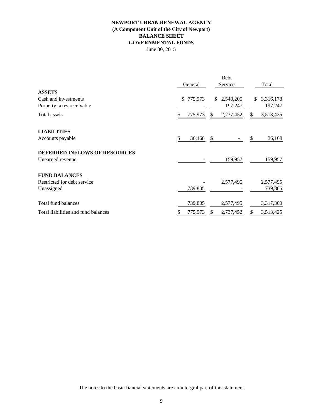#### **NEWPORT URBAN RENEWAL AGENCY BALANCE SHEET GOVERNMENTAL FUNDS** June 30, 2015 **(A Component Unit of the City of Newport)**

|                                      |               | Debt             |                 |
|--------------------------------------|---------------|------------------|-----------------|
|                                      | General       | Service          | Total           |
| <b>ASSETS</b>                        |               |                  |                 |
| Cash and investments                 | \$775,973     | 2,540,205<br>\$  | 3,316,178<br>\$ |
| Property taxes receivable            |               | 197,247          | 197,247         |
| <b>Total assets</b>                  | 775,973<br>\$ | 2,737,452<br>\$. | 3,513,425<br>S  |
| <b>LIABILITIES</b>                   |               |                  |                 |
| Accounts payable                     | \$<br>36,168  | \$               | 36,168<br>\$    |
| <b>DEFERRED INFLOWS OF RESOURCES</b> |               |                  |                 |
| Unearned revenue                     |               | 159,957          | 159,957         |
| <b>FUND BALANCES</b>                 |               |                  |                 |
| Restricted for debt service          |               | 2,577,495        | 2,577,495       |
| Unassigned                           | 739,805       |                  | 739,805         |
| Total fund balances                  | 739,805       | 2,577,495        | 3,317,300       |
| Total liabilities and fund balances  | \$<br>775,973 | 2,737,452<br>S.  | 3,513,425<br>S  |

The notes to the basic fiancial statements are an intergral part of this statement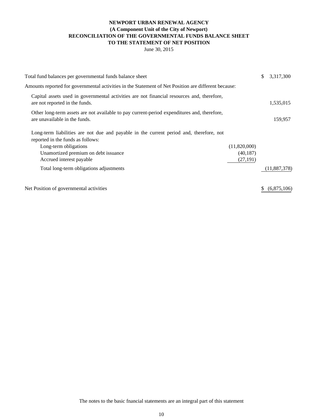#### **NEWPORT URBAN RENEWAL AGENCY RECONCILIATION OF THE GOVERNMENTAL FUNDS BALANCE SHEET TO THE STATEMENT OF NET POSITION** June 30, 2015 **(A Component Unit of the City of Newport)**

| Total fund balances per governmental funds balance sheet                                                                                              |                        | S. | 3,317,300    |
|-------------------------------------------------------------------------------------------------------------------------------------------------------|------------------------|----|--------------|
| Amounts reported for governmental activities in the Statement of Net Position are different because:                                                  |                        |    |              |
| Capital assets used in governmental activities are not financial resources and, therefore,<br>are not reported in the funds.                          |                        |    | 1,535,015    |
| Other long-term assets are not available to pay current-period expenditures and, therefore,<br>are unavailable in the funds.                          |                        |    | 159,957      |
| Long-term liabilities are not due and payable in the current period and, therefore, not<br>reported in the funds as follows:<br>Long-term obligations | (11,820,000)           |    |              |
| Unamortized premium on debt issuance<br>Accrued interest payable                                                                                      | (40, 187)<br>(27, 191) |    |              |
| Total long-term obligations adjustments                                                                                                               |                        |    | (11,887,378) |
| Net Position of governmental activities                                                                                                               |                        |    | (6,875,106)  |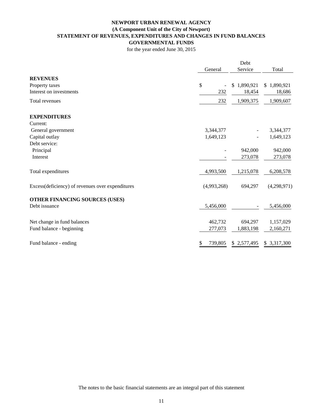#### **NEWPORT URBAN RENEWAL AGENCY STATEMENT OF REVENUES, EXPENDITURES AND CHANGES IN FUND BALANCES GOVERNMENTAL FUNDS (A Component Unit of the City of Newport)**

for the year ended June 30, 2015

|                                                   | General       | Debt<br>Service | Total        |
|---------------------------------------------------|---------------|-----------------|--------------|
| <b>REVENUES</b>                                   |               |                 |              |
| Property taxes                                    | \$<br>÷       | 1,890,921<br>S  | \$1,890,921  |
| Interest on investments                           | 232           | 18,454          | 18,686       |
| Total revenues                                    | 232           | 1,909,375       | 1,909,607    |
| <b>EXPENDITURES</b>                               |               |                 |              |
| Current:                                          |               |                 |              |
| General government                                | 3,344,377     |                 | 3,344,377    |
| Capital outlay                                    | 1,649,123     |                 | 1,649,123    |
| Debt service:                                     |               |                 |              |
| Principal                                         |               | 942,000         | 942,000      |
| Interest                                          |               | 273,078         | 273,078      |
| Total expenditures                                | 4,993,500     | 1,215,078       | 6,208,578    |
| Excess (deficiency) of revenues over expenditures | (4,993,268)   | 694,297         | (4,298,971)  |
| <b>OTHER FINANCING SOURCES (USES)</b>             |               |                 |              |
| Debt issuance                                     | 5,456,000     |                 | 5,456,000    |
| Net change in fund balances                       | 462,732       | 694,297         | 1,157,029    |
| Fund balance - beginning                          | 277,073       | 1,883,198       | 2,160,271    |
| Fund balance - ending                             | 739,805<br>\$ | \$2,577,495     | \$ 3,317,300 |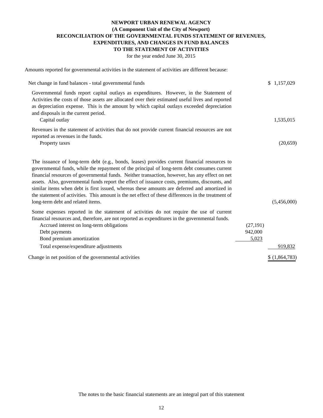#### **EXPENDITURES, AND CHANGES IN FUND BALANCES TO THE STATEMENT OF ACTIVITIES RECONCILIATION OF THE GOVERNMENTAL FUNDS STATEMENT OF REVENUES, NEWPORT URBAN RENEWAL AGENCY (A Component Unit of the City of Newport)**

for the year ended June 30, 2015

Amounts reported for governmental activities in the statement of activities are different because:

| Net change in fund balances - total governmental funds                                                                                                                                                                                                                                                                                                                                                                                                                                                                                                                                                                                      |                               | \$1,157,029   |
|---------------------------------------------------------------------------------------------------------------------------------------------------------------------------------------------------------------------------------------------------------------------------------------------------------------------------------------------------------------------------------------------------------------------------------------------------------------------------------------------------------------------------------------------------------------------------------------------------------------------------------------------|-------------------------------|---------------|
| Governmental funds report capital outlays as expenditures. However, in the Statement of<br>Activities the costs of those assets are allocated over their estimated useful lives and reported<br>as depreciation expense. This is the amount by which capital outlays exceeded depreciation<br>and disposals in the current period.<br>Capital outlay                                                                                                                                                                                                                                                                                        |                               | 1,535,015     |
| Revenues in the statement of activities that do not provide current financial resources are not<br>reported as revenues in the funds.                                                                                                                                                                                                                                                                                                                                                                                                                                                                                                       |                               |               |
| Property taxes                                                                                                                                                                                                                                                                                                                                                                                                                                                                                                                                                                                                                              |                               | (20,659)      |
| The issuance of long-term debt (e.g., bonds, leases) provides current financial resources to<br>governmental funds, while the repayment of the principal of long-term debt consumes current<br>financial resources of governmental funds. Neither transaction, however, has any effect on net<br>assets. Also, governmental funds report the effect of issuance costs, premiums, discounts, and<br>similar items when debt is first issued, whereas these amounts are deferred and amortized in<br>the statement of activities. This amount is the net effect of these differences in the treatment of<br>long-term debt and related items. |                               | (5,456,000)   |
| Some expenses reported in the statement of activities do not require the use of current<br>financial resources and, therefore, are not reported as expenditures in the governmental funds.<br>Accrued interest on long-term obligations<br>Debt payments<br>Bond premium amortization                                                                                                                                                                                                                                                                                                                                                       | (27, 191)<br>942,000<br>5,023 |               |
| Total expense/expenditure adjustments                                                                                                                                                                                                                                                                                                                                                                                                                                                                                                                                                                                                       |                               | 919,832       |
| Change in net position of the governmental activities                                                                                                                                                                                                                                                                                                                                                                                                                                                                                                                                                                                       |                               | \$(1,864,783) |

The notes to the basic financial statements are an integral part of this statement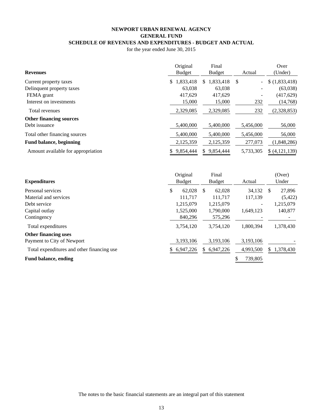#### **NEWPORT URBAN RENEWAL AGENCY SCHEDULE OF REVENUES AND EXPENDITURES - BUDGET AND ACTUAL GENERAL FUND**

for the year ended June 30, 2015

| <b>Revenues</b>                    | Original<br><b>Budget</b> | Final<br><b>Budget</b> | Actual        | Over<br>(Under) |
|------------------------------------|---------------------------|------------------------|---------------|-----------------|
| Current property taxes             | 1,833,418<br>S.           | 1,833,418<br>S.        | <sup>\$</sup> | \$(1,833,418)   |
| Delinquent property taxes          | 63,038                    | 63,038                 |               | (63,038)        |
| FEMA grant                         | 417.629                   | 417,629                |               | (417,629)       |
| Interest on investments            | 15,000                    | 15,000                 | 232           | (14,768)        |
| Total revenues                     | 2,329,085                 | 2,329,085              | 232           | (2,328,853)     |
| <b>Other financing sources</b>     |                           |                        |               |                 |
| Debt issuance                      | 5,400,000                 | 5,400,000              | 5,456,000     | 56,000          |
| Total other financing sources      | 5,400,000                 | 5,400,000              | 5,456,000     | 56,000          |
| <b>Fund balance, beginning</b>     | 2,125,359                 | 2,125,359              | 277,073       | (1,848,286)     |
| Amount available for appropriation | 9.854.444                 | 9.854.444              | 5.733.305     | \$ (4,121,139)  |

|                                             | Original      | Final            |               | (Over)      |
|---------------------------------------------|---------------|------------------|---------------|-------------|
| <b>Expenditures</b>                         | <b>Budget</b> | <b>Budget</b>    | Actual        | Under       |
| Personal services                           | \$<br>62,028  | 62,028<br>S      | 34,132        | 27,896<br>S |
| Material and services                       | 111.717       | 111,717          | 117,139       | (5,422)     |
| Debt service                                | 1,215,079     | 1,215,079        |               | 1,215,079   |
| Capital outlay                              | 1,525,000     | 1,790,000        | 1,649,123     | 140,877     |
| Contingency                                 | 840,296       | 575,296          |               |             |
| Total expenditures                          | 3,754,120     | 3,754,120        | 1,800,394     | 1,378,430   |
| Other financing uses                        |               |                  |               |             |
| Payment to City of Newport                  | 3,193,106     | 3,193,106        | 3,193,106     |             |
| Total expenditures and other financing use. | 6,947,226     | 6,947,226<br>SS. | 4,993,500     | 1,378,430   |
| <b>Fund balance, ending</b>                 |               |                  | \$<br>739,805 |             |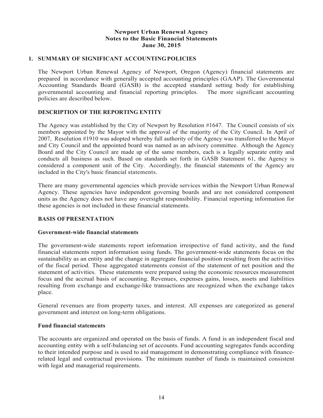#### **1. SUMMARY OF SIGNIFICANT ACCOUNTINGPOLICIES**

The Newport Urban Renewal Agency of Newport, Oregon (Agency) financial statements are prepared in accordance with generally accepted accounting principles (GAAP). The Governmental Accounting Standards Board (GASB) is the accepted standard setting body for establishing governmental accounting and financial reporting principles. The more significant accounting policies are described below.

#### **DESCRIPTION OF THE REPORTING ENTITY**

The Agency was established by the City of Newport by Resolution #1647. The Council consists of six members appointed by the Mayor with the approval of the majority of the City Council. In April of 2007, Resolution #1910 was adopted whereby full authority of the Agency was transferred to the Mayor and City Council and the appointed board was named as an advisory committee. Although the Agency Board and the City Council are made up of the same members, each is a legally separate entity and conducts all business as such. Based on standards set forth in GASB Statement 61, the Agency is considered a component unit of the City. Accordingly, the financial statements of the Agency are included in the City's basic financial statements.

There are many governmental agencies which provide services within the Newport Urban Renewal Agency. These agencies have independent governing boards and are not considered component units as the Agency does not have any oversight responsibility. Financial reporting information for these agencies is not included in these financial statements.

#### **BASIS OFPRESENTATION**

#### **Government-wide financial statements**

The government-wide statements report information irrespective of fund activity, and the fund financial statements report information using funds. The government-wide statements focus on the sustainability as an entity and the change in aggregate financial position resulting from the activities of the fiscal period. These aggregated statements consist of the statement of net position and the statement of activities. These statements were prepared using the economic resources measurement focus and the accrual basis of accounting. Revenues, expenses gains, losses, assets and liabilities resulting from exchange and exchange-like transactions are recognized when the exchange takes place.

General revenues are from property taxes, and interest. All expenses are categorized as general government and interest on long-term obligations.

#### **Fund financial statements**

The accounts are organized and operated on the basis of funds. A fund is an independent fiscal and accounting entity with a self-balancing set of accounts. Fund accounting segregates funds according to their intended purpose and is used to aid management in demonstrating compliance with financerelated legal and contractual provisions. The minimum number of funds is maintained consistent with legal and managerial requirements.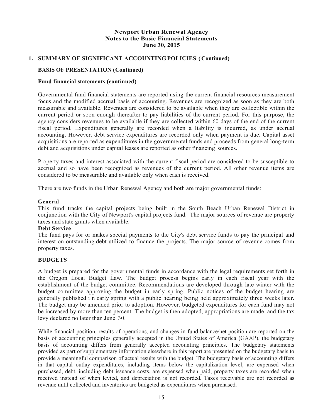#### **1. SUMMARY OF SIGNIFICANT ACCOUNTINGPOLICIES ( Continued)**

#### **BASIS OF PRESENTATION (Continued)**

#### **Fund financial statements (continued)**

Governmental fund financial statements are reported using the current financial resources measurement focus and the modified accrual basis of accounting. Revenues are recognized as soon as they are both measurable and available. Revenues are considered to be available when they are collectible within the current period or soon enough thereafter to pay liabilities of the current period. For this purpose, the agency considers revenues to be available if they are collected within 60 days of the end of the current fiscal period. Expenditures generally are recorded when a liability is incurred, as under accrual accounting. However, debt service expenditures are recorded only when payment is due. Capital asset acquisitions are reported as expenditures in the governmental funds and proceeds from general long-term debt and acquisitions under capital leases are reported as other financing sources.

Property taxes and interest associated with the current fiscal period are considered to be susceptible to accrual and so have been recognized as revenues of the current period. All other revenue items are considered to be measurable and available only when cash is received.

There are two funds in the Urban Renewal Agency and both are major governmental funds:

#### **General**

This fund tracks the capital projects being built in the South Beach Urban Renewal District in conjunction with the City of Newport's capital projects fund. The major sources of revenue are property taxes and state grants when available.

#### **Debt Service**

The fund pays for or makes special payments to the City's debt service funds to pay the principal and interest on outstanding debt utilized to finance the projects. The major source of revenue comes from property taxes.

#### **BUDGETS**

A budget is prepared for the governmental funds in accordance with the legal requirements set forth in the Oregon Local Budget Law. The budget process begins early in each fiscal year with the establishment of the budget committee. Recommendations are developed through late winter with the budget committee approving the budget in early spring. Public notices of the budget hearing are generally published i n early spring with a public hearing being held approximately three weeks later. The budget may be amended prior to adoption. However, budgeted expenditures for each fund may not be increased by more than ten percent. The budget is then adopted, appropriations are made, and the tax levy declared no later than June 30.

While financial position, results of operations, and changes in fund balance/net position are reported on the basis of accounting principles generally accepted in the United States of America (GAAP), the budgetary basis of accounting differs from generally accepted accounting principles. The budgetary statements provided as part of supplementary information elsewhere in this report are presented on the budgetary basis to provide a meaningful comparison of actual results with the budget. The budgetary basis of accounting differs in that capital outlay expenditures, including items below the capitalization level, are expensed when purchased, debt, including debt issuance costs, are expensed when paid, property taxes are recorded when received instead of when levied, and depreciation is not recorded. Taxes receivable are not recorded as revenue until collected and inventories are budgeted as expenditures when purchased.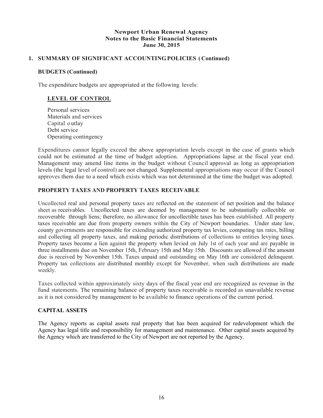#### **1. SUMMARY OF SIGNIFICANT ACCOUNTINGPOLICIES ( Continued)**

#### **BUDGETS (Continued)**

The expenditure budgets are appropriated at the following levels:

#### **LEVEL OF CONTROL**

Personal services Materials and services Capital outlay Debt service Operating contingency

Expenditures cannot legally exceed the above appropriation levels except in the case of grants which could not be estimated at the time of budget adoption. Appropriations lapse at the fiscal year end. Management may amend line items in the budget without Council approval as long as appropriation levels (the legal level of control) are not changed. Supplemental appropriations may occur if the Council approves them due to a need which exists which was not determined at the time the budget was adopted.

#### **PROPERTY TAXES AND PROPERTY TAXES RECEIVABLE**

Uncollected real and personal property taxes are reflected on the statement of net position and the balance sheet as receivables. Uncollected taxes are deemed by management to be substantially collectible or recoverable through liens; therefore, no allowance for uncollectible taxes has been established. All property taxes receivable are due from property owners within the City of Newport boundaries. Under state law, county governments are responsible for extending authorized property tax levies, computing tax rates, billing and collecting all property taxes, and making periodic distributions of collections to entities levying taxes. Property taxes become a lien against the property when levied on July 1st of each year and are payable in three installments due on November 15th, February 15th and May 15th. Discounts are allowed if the amount due is received by November 15th. Taxes unpaid and outstanding on May 16th are considered delinquent. Property tax collections are distributed monthly except for November, when such distributions are made weekly.

Taxes collected within approximately sixty days of the fiscal year end are recognized as revenue in the fund statements. The remaining balance of property taxes receivable is recorded as unavailable revenue as it is not considered by management to be available to finance operations of the current period.

#### **CAPITAL ASSETS**

The Agency reports as capital assets real property that has been acquired for redevelopment which the Agency has legal title and responsibility for management and maintenance. Other capital assets acquired by the Agency which are transferred to the City of Newport are not reported by the Agency.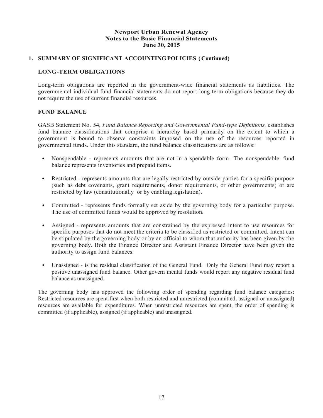#### **1. SUMMARY OF SIGNIFICANT ACCOUNTINGPOLICIES ( Continued)**

#### **LONG-TERM OBLIGATIONS**

Long-term obligations are reported in the government-wide financial statements as liabilities. The governmental individual fund financial statements do not report long-term obligations because they do not require the use of current financial resources.

#### **FUND BALANCE**

GASB Statement No. 54, *Fund Balance Reporting and Governmental Fund-type Definitions,* establishes fund balance classifications that comprise a hierarchy based primarily on the extent to which a government is bound to observe constraints imposed on the use of the resources reported in governmental funds. Under this standard, the fund balance classifications are as follows:

- Nonspendable represents amounts that are not in a spendable form. The nonspendable fund balance represents inventories and prepaid items.
- Restricted represents amounts that are legally restricted by outside parties for a specific purpose (such as debt covenants, grant requirements, donor requirements, or other governments) or are restricted by law (constitutionally or by enabling legislation).
- Committed represents funds formally set aside by the governing body for a particular purpose. The use of committed funds would be approved by resolution.
- Assigned represents amounts that are constrained by the expressed intent to use resources for specific purposes that do not meet the criteria to be classified as restricted or committed. Intent can be stipulated by the governing body or by an official to whom that authority has been given by the governing body. Both the Finance Director and Assistant Finance Director have been given the authority to assign fund balances.
- Unassigned is the residual classification of the General Fund. Only the General Fund may report a positive unassigned fund balance. Other govern mental funds would report any negative residual fund balance as unassigned.

The governing body has approved the following order of spending regarding fund balance categories: Restricted resources are spent first when both restricted and unrestricted (committed, assigned or unassigned) resources are available for expenditures. When unrestricted resources are spent, the order of spending is committed (if applicable), assigned (if applicable) and unassigned.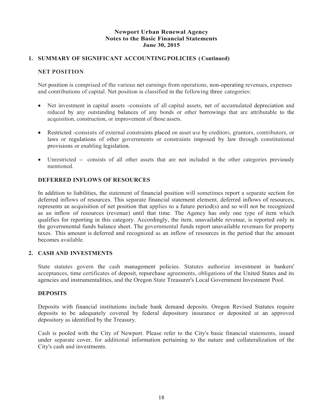#### **1. SUMMARY OF SIGNIFICANT ACCOUNTINGPOLICIES ( Continued)**

#### **NET POSITION**

Net position is comprised of the various net earnings from operations, non-operating revenues, expenses and contributions of capital. Net position is classified in the following three categories:

- Net investment in capital assets -consists of all capital assets, net of accumulated depreciation and reduced by any outstanding balances of any bonds or other borrowings that are attributable to the acquisition, construction, or improvement of those assets.
- Restricted -consists of external constraints placed on asset use by creditors, grantors, contributors, or laws or regulations of other governments or constraints imposed by law through constitutional provisions or enabling legislation.
- Unrestricted consists of all other assets that are not included in the other categories previously mentioned.

#### **DEFERRED INFLOWS OF RESOURCES**

In addition to liabilities, the statement of financial position will sometimes report a separate section for deferred inflows of resources. This separate financial statement element, deferred inflows of resources, represents an acquisition of net position that applies to a future period(s) and so will not be recognized as an inflow of resources (revenue) until that time. The Agency has only one type of item which qualifies for reporting in this category. Accordingly, the item, unavailable revenue, is reported only in the governmental funds balance sheet. The governmental funds report unavailable revenues for property taxes. This amount is deferred and recognized as an inflow of resources in the period that the amount becomes available.

#### **2. CASH AND INVESTMENTS**

State statutes govern the cash management policies. Statutes authorize investment in bankers' acceptances, time certificates of deposit, repurchase agreements, obligations of the United States and its agencies and instrumentalities, and the Oregon State Treasurer's Local Government Investment Pool.

#### **DEPOSITS**

Deposits with financial institutions include bank demand deposits. Oregon Revised Statutes require deposits to be adequately covered by federal depository insurance or deposited at an approved depository as identified by the Treasury.

Cash is pooled with the City of Newport. Please refer to the City's basic financial statements, issued under separate cover, for additional information pertaining to the nature and collateralization of the City's cash and investments.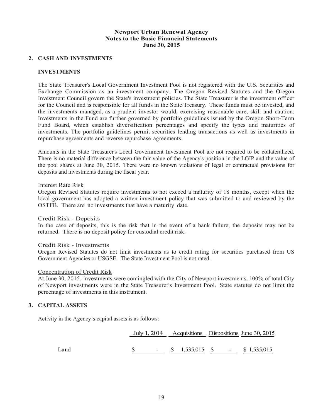#### **2. CASH AND INVESTMENTS**

#### **INVESTMENTS**

The State Treasurer's Local Government Investment Pool is not registered with the U.S. Securities and Exchange Commission as an investment company. The Oregon Revised Statutes and the Oregon Investment Council govern the State's investment policies. The State Treasurer is the investment officer for the Council and is responsible for all funds in the State Treasury. These funds must be invested, and the investments managed, as a prudent investor would, exercising reasonable care, skill and caution. Investments in the Fund are further governed by portfolio guidelines issued by the Oregon Short-Term Fund Board, which establish diversification percentages and specify the types and maturities of investments. The portfolio guidelines permit securities lending transactions as well as investments in repurchase agreements and reverse repurchase agreements.

Amounts in the State Treasurer's Local Government Investment Pool are not required to be collateralized. There is no material difference between the fair value of the Agency's position in the LGIP and the value of the pool shares at June 30, 2015. There were no known violations of legal or contractual provisions for deposits and investments during the fiscal year.

#### Interest Rate Risk

Oregon Revised Statutes require investments to not exceed a maturity of 18 months, except when the local government has adopted a written investment policy that was submitted to and reviewed by the OSTFB. There are no investments that have a maturity date.

#### Credit Risk - Deposits

In the case of deposits, this is the risk that in the event of a bank failure, the deposits may not be returned. There is no deposit policy for custodial credit risk.

#### Credit Risk - Investments

Oregon Revised Statutes do not limit investments as to credit rating for securities purchased from US Government Agencies or USGSE. The State Investment Pool is not rated.

#### Concentration of Credit Risk

At June 30, 2015, investments were comingled with the City of Newport investments. 100% of total City of Newport investments were in the State Treasurer's Investment Pool. State statutes do not limit the percentage of investments in this instrument.

#### **3. CAPITAL ASSETS**

Activity in the Agency's capital assets is as follows:

|      |  | July 1, 2014 Acquisitions Dispositions June 30, 2015 |  |  |
|------|--|------------------------------------------------------|--|--|
| Land |  | $-$ \$ 1,535,015 \$ $-$ \$ 1,535,015                 |  |  |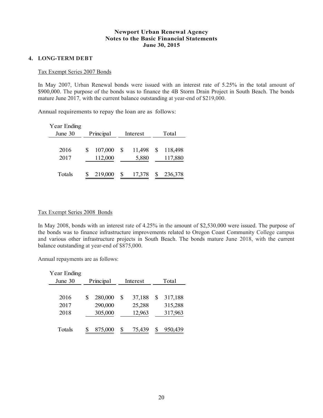#### **4. LONG-TERM DEBT**

#### Tax Exempt Series 2007 Bonds

In May 2007, Urban Renewal bonds were issued with an interest rate of 5.25% in the total amount of \$900,000. The purpose of the bonds was to finance the 4B Storm Drain Project in South Beach. The bonds mature June 2017, with the current balance outstanding at year-end of \$219,000.

Annual requirements to repay the loan are as follows:

| Year Ending |           |              |          |               |
|-------------|-----------|--------------|----------|---------------|
| June 30     | Principal |              | Interest | Total         |
|             |           |              |          |               |
| 2016        | 107,000   | <sup>S</sup> | 11,498   | \$<br>118,498 |
| 2017        | 112,000   |              | 5,880    | 117,880       |
|             |           |              |          |               |
| Totals      | 219,000   |              | 17,378   | 236,378       |

#### Tax Exempt Series 2008 Bonds

In May 2008, bonds with an interest rate of 4.25% in the amount of \$2,530,000 were issued. The purpose of the bonds was to finance infrastructure improvements related to Oregon Coast Community College campus and various other infrastructure projects in South Beach. The bonds mature June 2018, with the current balance outstanding at year-end of \$875,000.

Annual repayments are as follows:

| Year Ending |               |   |          |               |
|-------------|---------------|---|----------|---------------|
| June $30$   | Principal     |   | Interest | Total         |
|             |               |   |          |               |
| 2016        | \$<br>280,000 | S | 37,188   | \$<br>317,188 |
| 2017        | 290,000       |   | 25,288   | 315,288       |
| 2018        | 305,000       |   | 12,963   | 317,963       |
|             |               |   |          |               |
| Totals      | 875,000       | S | 75,439   | 950,439       |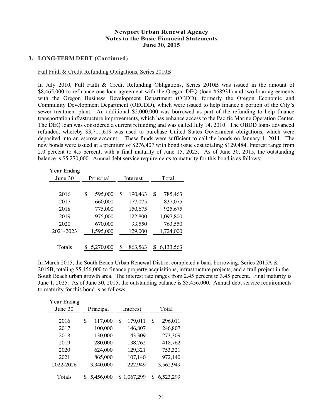#### **3. LONG-TERM DEBT (Continued)**

#### Full Faith & Credit Refunding Obligations, Series 2010B

In July 2010, Full Faith & Credit Refunding Obligations, Series 2010B was issued in the amount of \$8,465,000 to refinance one loan agreement with the Oregon DEQ (loan #68931) and two loan agreements with the Oregon Business Development Department (OBDD), formerly the Oregon Economic and Community Development Department (OECDD), which were issued to help finance a portion of the City's sewer treatment plant. An additional \$2,000,000 was borrowed as part of the refunding to help finance transportation infrastructure improvements, which has enhance access to the Pacific Marine Operation Center. The DEQ loan was considered a current refunding and was called July 14, 2010. The OBDD loans advanced refunded, whereby \$3,711,619 was used to purchase United States Government obligations, which were deposited into an escrow account. These funds were sufficient to call the bonds on January 1, 2011. The new bonds were issued at a premium of \$276,407 with bond issue cost totaling \$129,484. Interest range from 2.0 percent to 4.5 percent, with a final maturity of June 15, 2023. As of June 30, 2015, the outstanding balance is \$5,270,000. Annual debt service requirements to maturity for this bond is as follows:

| Year Ending |                       |    |         |    |           |
|-------------|-----------------------|----|---------|----|-----------|
| June 30     | Principal<br>Interest |    |         |    | Total     |
|             |                       |    |         |    |           |
| 2016        | \$<br>595,000         | \$ | 190,463 | \$ | 785,463   |
| 2017        | 660,000               |    | 177,075 |    | 837,075   |
| 2018        | 775,000               |    | 150,675 |    | 925,675   |
| 2019        | 975,000               |    | 122,800 |    | 1,097,800 |
| 2020        | 670,000               |    | 93,550  |    | 763,550   |
| 2021-2023   | 1,595,000             |    | 129,000 |    | 1,724,000 |
| Totals      | 5,270,000             | \$ | 863,563 | S  | 6,133,563 |

In March 2015, the South Beach Urban Renewal District completed a bank borrowing, Series 2015A & 2015B, totaling \$5,456,000 to finance property acquisitions, infrastructure projects, and a trail project in the South Beach urban growth area. The interest rate ranges from 2.45 percent to 3.45 percent. Final maturity is June 1, 2025. As of June 30, 2015, the outstanding balance is \$5,456,000. Annual debt service requirements to maturity for this bond is as follows:

| Year Ending |                 |          |             |                 |
|-------------|-----------------|----------|-------------|-----------------|
| June 30     | Principal       | Interest |             | Total           |
|             |                 |          |             |                 |
| 2016        | \$<br>117,000   | \$       | 179,011     | \$<br>296,011   |
| 2017        | 100,000         |          | 146,807     | 246,807         |
| 2018        | 130,000         |          | 143,309     | 273,309         |
| 2019        | 280,000         |          | 138,762     | 418,762         |
| 2020        | 624,000         |          | 129,321     | 753,321         |
| 2021        | 865,000         |          | 107,140     | 972,140         |
| 2022-2026   | 3,340,000       |          | 222,949     | 3,562,949       |
| Totals      | \$<br>5,456,000 |          | \$1,067,299 | \$<br>6,523,299 |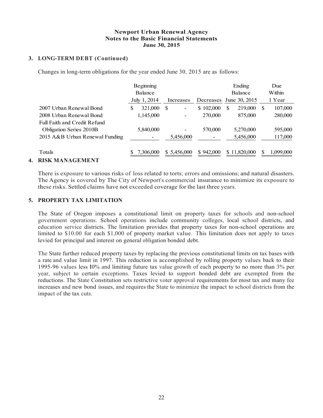#### **3. LONG-TERM DEBT (Continued)**

Changes in long-term obligations for the year ended June 30, 2015 are as follows:

|                                | Beginning<br>Balance |           |                      |                         |   | Ending<br>Balance |    | Due<br>Within |
|--------------------------------|----------------------|-----------|----------------------|-------------------------|---|-------------------|----|---------------|
|                                | July 1, 2014         |           | Increases            | Decreases June 30, 2015 |   |                   |    | 1 Year        |
| 2007 Urban Renewal Bond        | S                    | 321,000   | -S<br>$\blacksquare$ | \$102,000               | S | 219,000           | -S | 107,000       |
| 2008 Urban Renewal Bond        |                      | 1,145,000 |                      | 270,000                 |   | 875,000           |    | 280,000       |
| Full Faith and Credit Refund   |                      |           |                      |                         |   |                   |    |               |
| <b>Obligation Series 2010B</b> | 5,840,000            |           |                      | 570,000                 |   | 5,270,000         |    | 595,000       |
| 2015 A&B Urban Renewal Funding |                      |           | 5,456,000            |                         |   | 5,456,000         |    | 117,000       |
|                                |                      |           |                      |                         |   |                   |    |               |
| Totals                         | 7,306,000            |           | \$5,456,000          | \$942,000               |   | \$11,820,000      |    | 1,099,000     |

#### **4. RISK MANAGEMENT**

There is exposure to various risks of loss related to torts; errors and omissions; and natural disasters. The Agency is covered by The City of Newport's commercial insurance to minimize its exposure to these risks. Settled claims have not exceeded coverage for the last three years.

#### **5. PROPERTY TAX LIMITATION**

The State of Oregon imposes a constitutional limit on property taxes for schools and non-school government operations. School operations include community colleges, local school districts, and education service districts. The limitation provides that property taxes for non-school operations are limited to \$10.00 for each \$1,000 of property market value. This limitation does not apply to taxes levied for principal and interest on general obligation bonded debt.

The State further reduced property taxes by replacing the previous constitutional limits on tax bases with a rate and value limit in 1997. This reduction is accomplished by rolling property values back to their 1995-96 values less I0% and limiting future tax value growth of each property to no more than 3% per year, subject to certain exceptions. Taxes levied to support bonded debt are exempted from the reductions. The State Constitution sets restrictive voter approval requirements for most tax and many fee increases and new bond issues, and requires the State to minimize the impact to school districts from the impact of the tax cuts.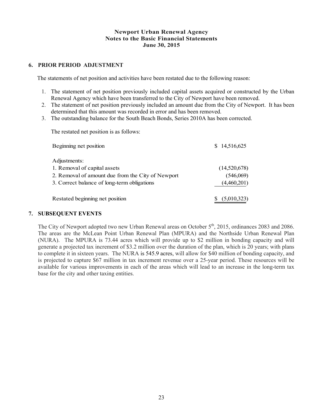#### **6. PRIOR PERIOD ADJUSTMENT**

The statements of net position and activities have been restated due to the following reason:

- 1. The statement of net position previously included capital assets acquired or constructed by the Urban Renewal Agency which have been transferred to the City of Newport have been removed.
- 2. The statement of net position previously included an amount due from the City of Newport. It has been determined that this amount was recorded in error and has been removed.
- 3. The outstanding balance for the South Beach Bonds, Series 2010A has been corrected.

The restated net position is as follows:

| Beginning net position                            | \$14,516,625 |
|---------------------------------------------------|--------------|
| Adjustments:                                      |              |
| 1. Removal of capital assets                      | (14,520,678) |
| 2. Removal of amount due from the City of Newport | (546,069)    |
| 3. Correct balance of long-term obligations       | (4,460,201)  |
| Restated beginning net position                   | (5,010,323)  |

#### **7. SUBSEQUENT EVENTS**

The City of Newport adopted two new Urban Renewal areas on October  $5<sup>th</sup>$ , 2015, ordinances 2083 and 2086. The areas are the McLean Point Urban Renewal Plan (MPURA) and the Northside Urban Renewal Plan (NURA). The MPURA is 73.44 acres which will provide up to \$2 million in bonding capacity and will generate a projected tax increment of \$3.2 million over the duration of the plan, which is 20 years; with plans to complete it in sixteen years. The NURA is 545.9 acres, will allow for \$40 million of bonding capacity, and is projected to capture \$67 million in tax increment revenue over a 25-year period. These resources will be available for various improvements in each of the areas which will lead to an increase in the long-term tax base for the city and other taxing entities.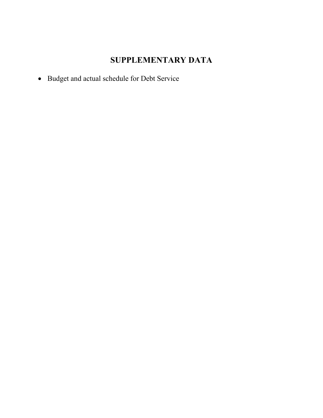## **SUPPLEMENTARY DATA**

Budget and actual schedule for Debt Service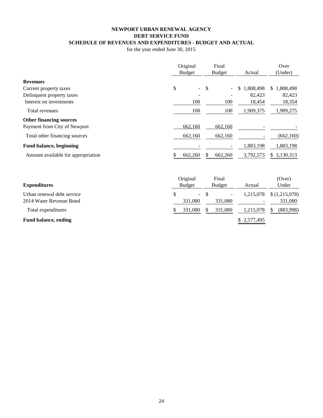#### **NEWPORT URBAN RENEWAL AGENCY DEBT SERVICE FUND SCHEDULE OF REVENUES AND EXPENDITURES - BUDGET AND ACTUAL**

for the year ended June 30, 2015

|                                    |    | Original<br><b>Budget</b> | Final<br><b>Budget</b> |                          | Actual |           | Over<br>(Under) |  |
|------------------------------------|----|---------------------------|------------------------|--------------------------|--------|-----------|-----------------|--|
| <b>Revenues</b>                    |    |                           |                        |                          |        |           |                 |  |
| Current property taxes             | \$ | $\sim$                    | - \$                   | $\overline{\phantom{a}}$ | \$     | 1,808,498 | 1,808,498<br>\$ |  |
| Delinquent property taxes          |    |                           |                        | $\overline{\phantom{a}}$ |        | 82.423    | 82,423          |  |
| Interest on investments            |    | 100                       |                        | 100                      |        | 18,454    | 18,354          |  |
| Total revenues                     |    | 100                       |                        | 100                      |        | 1,909,375 | 1,909,275       |  |
| <b>Other financing sources</b>     |    |                           |                        |                          |        |           |                 |  |
| Payment from City of Newport       |    | 662,160                   |                        | 662,160                  |        |           |                 |  |
| Total other financing sources      |    | 662,160                   |                        | 662,160                  |        |           | (662,160)       |  |
| <b>Fund balance, beginning</b>     |    |                           |                        |                          |        | 1,883,198 | 1,883,198       |  |
| Amount available for appropriation |    | 662,260                   |                        | 662,260                  |        | 3,792,573 | \$3,130,313     |  |

|                            | Original                 | Final         |                          | (Over)        |  |
|----------------------------|--------------------------|---------------|--------------------------|---------------|--|
| <b>Expenditures</b>        | <b>Budget</b>            | <b>Budget</b> | Actual                   | Under         |  |
| Urban renewal debt service | $\overline{\phantom{a}}$ |               | 1,215,078                | \$(1,215,078) |  |
| 2014 Water Revenue Bond    | 331.080                  | 331,080       | $\overline{\phantom{0}}$ | 331,080       |  |
| Total expenditures         | 331.080                  | 331,080       | 1,215,078                | (883,998)     |  |
| Fund balance, ending       |                          |               | \$2,577,495              |               |  |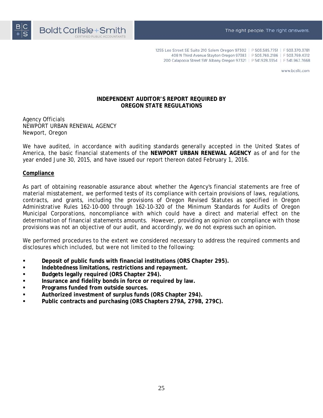1255 Lee Street SE Suite 210 Salem Oregon 97302 | P 503.585.7751 | F 503.370.3781 408 N Third Avenue Stayton Oregon 97383 | P 503.769.2186 | F 503.769.4312 200 Calapooia Street SW Albany Oregon 97321 | P 541.928.3354 | F 541.967.7668

www.bcsllc.com

#### **INDEPENDENT AUDITOR'S REPORT REQUIRED BY OREGON STATE REGULATIONS**

Agency Officials NEWPORT URBAN RENEWAL AGENCY Newport, Oregon

We have audited, in accordance with auditing standards generally accepted in the United States of America, the basic financial statements of the **NEWPORT URBAN RENEWAL AGENCY** as of and for the year ended June 30, 2015, and have issued our report thereon dated February 1, 2016.

#### **Compliance**

As part of obtaining reasonable assurance about whether the Agency's financial statements are free of material misstatement, we performed tests of its compliance with certain provisions of laws, regulations, contracts, and grants, including the provisions of Oregon Revised Statutes as specified in Oregon Administrative Rules 162-10-000 through 162-10-320 of the Minimum Standards for Audits of Oregon Municipal Corporations, noncompliance with which could have a direct and material effect on the determination of financial statements amounts. However, providing an opinion on compliance with those provisions was not an objective of our audit, and accordingly, we do not express such an opinion.

We performed procedures to the extent we considered necessary to address the required comments and disclosures which included, but were not limited to the following:

- **Deposit of public funds with financial institutions (ORS Chapter 295).**
- **Indebtedness limitations, restrictions and repayment.**
- **Budgets legally required (ORS Chapter 294).**
- **Insurance and fidelity bonds in force or required by law.**
- **Programs funded from outside sources.**
- **Authorized investment of surplus funds (ORS Chapter 294).**
- **Public contracts and purchasing (ORS Chapters 279A, 279B, 279C).**